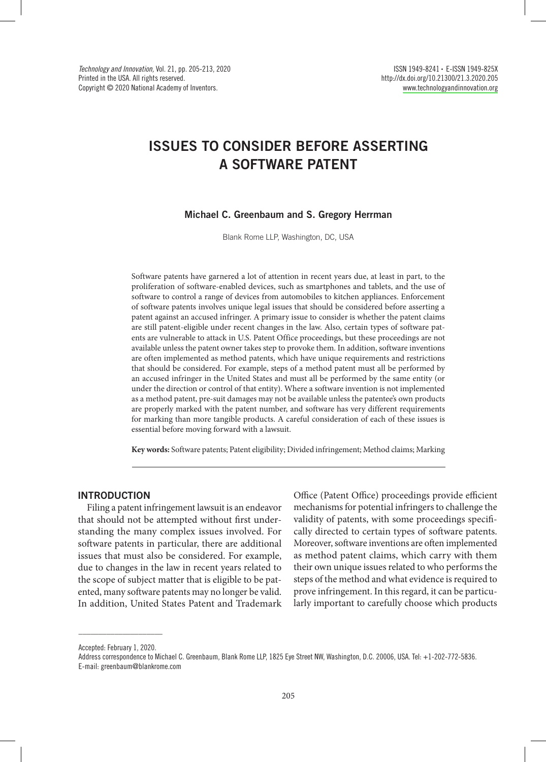# ISSUES TO CONSIDER BEFORE ASSERTING A SOFTWARE PATENT

## Michael C. Greenbaum and S. Gregory Herrman

Blank Rome LLP, Washington, DC, USA

Software patents have garnered a lot of attention in recent years due, at least in part, to the proliferation of software-enabled devices, such as smartphones and tablets, and the use of software to control a range of devices from automobiles to kitchen appliances. Enforcement of software patents involves unique legal issues that should be considered before asserting a patent against an accused infringer. A primary issue to consider is whether the patent claims are still patent-eligible under recent changes in the law. Also, certain types of software patents are vulnerable to attack in U.S. Patent Office proceedings, but these proceedings are not available unless the patent owner takes step to provoke them. In addition, software inventions are often implemented as method patents, which have unique requirements and restrictions that should be considered. For example, steps of a method patent must all be performed by an accused infringer in the United States and must all be performed by the same entity (or under the direction or control of that entity). Where a software invention is not implemented as a method patent, pre-suit damages may not be available unless the patentee's own products are properly marked with the patent number, and software has very different requirements for marking than more tangible products. A careful consideration of each of these issues is essential before moving forward with a lawsuit.

**Key words:** Software patents; Patent eligibility; Divided infringement; Method claims; Marking

## INTRODUCTION

Filing a patent infringement lawsuit is an endeavor that should not be attempted without first understanding the many complex issues involved. For software patents in particular, there are additional issues that must also be considered. For example, due to changes in the law in recent years related to the scope of subject matter that is eligible to be patented, many software patents may no longer be valid. In addition, United States Patent and Trademark

Office (Patent Office) proceedings provide efficient mechanisms for potential infringers to challenge the validity of patents, with some proceedings specifically directed to certain types of software patents. Moreover, software inventions are often implemented as method patent claims, which carry with them their own unique issues related to who performs the steps of the method and what evidence is required to prove infringement. In this regard, it can be particularly important to carefully choose which products

 $\_$ Accepted: February 1, 2020.

Address correspondence to Michael C. Greenbaum, Blank Rome LLP, 1825 Eye Street NW, Washington, D.C. 20006, USA. Tel: +1-202-772-5836. E-mail: greenbaum@blankrome.com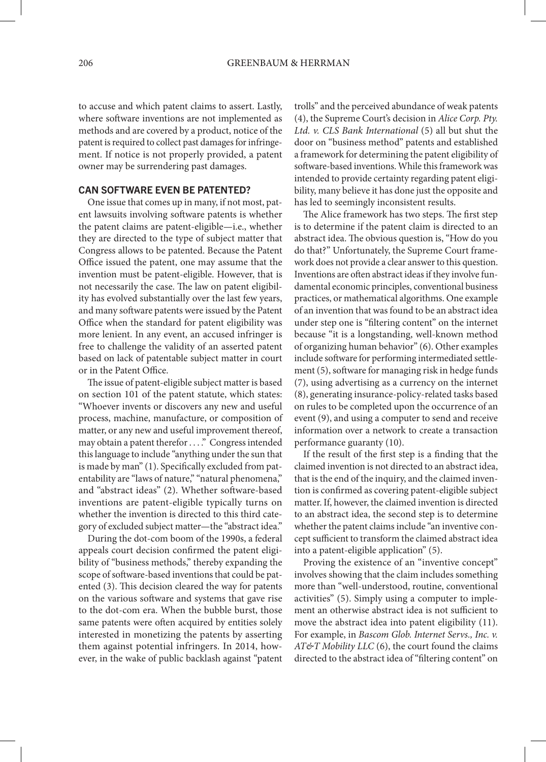to accuse and which patent claims to assert. Lastly, where software inventions are not implemented as methods and are covered by a product, notice of the patent is required to collect past damages for infringement. If notice is not properly provided, a patent owner may be surrendering past damages.

## CAN SOFTWARE EVEN BE PATENTED?

One issue that comes up in many, if not most, patent lawsuits involving software patents is whether the patent claims are patent-eligible—i.e., whether they are directed to the type of subject matter that Congress allows to be patented. Because the Patent Office issued the patent, one may assume that the invention must be patent-eligible. However, that is not necessarily the case. The law on patent eligibility has evolved substantially over the last few years, and many software patents were issued by the Patent Office when the standard for patent eligibility was more lenient. In any event, an accused infringer is free to challenge the validity of an asserted patent based on lack of patentable subject matter in court or in the Patent Office.

The issue of patent-eligible subject matter is based on section 101 of the patent statute, which states: "Whoever invents or discovers any new and useful process, machine, manufacture, or composition of matter, or any new and useful improvement thereof, may obtain a patent therefor . . . ." Congress intended this language to include "anything under the sun that is made by man" (1). Specifically excluded from patentability are "laws of nature," "natural phenomena," and "abstract ideas" (2). Whether software-based inventions are patent-eligible typically turns on whether the invention is directed to this third category of excluded subject matter—the "abstract idea."

During the dot-com boom of the 1990s, a federal appeals court decision confirmed the patent eligibility of "business methods," thereby expanding the scope of software-based inventions that could be patented (3). This decision cleared the way for patents on the various software and systems that gave rise to the dot-com era. When the bubble burst, those same patents were often acquired by entities solely interested in monetizing the patents by asserting them against potential infringers. In 2014, however, in the wake of public backlash against "patent trolls" and the perceived abundance of weak patents (4), the Supreme Court's decision in *Alice Corp. Pty. Ltd. v. CLS Bank International* (5) all but shut the door on "business method" patents and established a framework for determining the patent eligibility of software-based inventions. While this framework was intended to provide certainty regarding patent eligibility, many believe it has done just the opposite and has led to seemingly inconsistent results.

The Alice framework has two steps. The first step is to determine if the patent claim is directed to an abstract idea. The obvious question is, "How do you do that?" Unfortunately, the Supreme Court framework does not provide a clear answer to this question. Inventions are often abstract ideas if they involve fundamental economic principles, conventional business practices, or mathematical algorithms. One example of an invention that was found to be an abstract idea under step one is "filtering content" on the internet because "it is a longstanding, well-known method of organizing human behavior" (6). Other examples include software for performing intermediated settlement (5), software for managing risk in hedge funds (7), using advertising as a currency on the internet (8), generating insurance-policy-related tasks based on rules to be completed upon the occurrence of an event (9), and using a computer to send and receive information over a network to create a transaction performance guaranty (10).

If the result of the first step is a finding that the claimed invention is not directed to an abstract idea, that is the end of the inquiry, and the claimed invention is confirmed as covering patent-eligible subject matter. If, however, the claimed invention is directed to an abstract idea, the second step is to determine whether the patent claims include "an inventive concept sufficient to transform the claimed abstract idea into a patent-eligible application" (5).

Proving the existence of an "inventive concept" involves showing that the claim includes something more than "well-understood, routine, conventional activities" (5). Simply using a computer to implement an otherwise abstract idea is not sufficient to move the abstract idea into patent eligibility (11). For example, in *Bascom Glob. Internet Servs., Inc. v. AT&T Mobility LLC* (6), the court found the claims directed to the abstract idea of "filtering content" on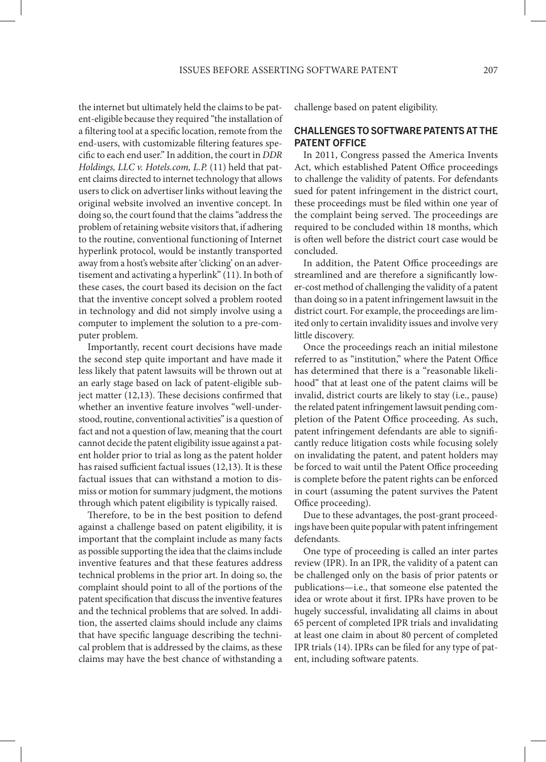the internet but ultimately held the claims to be patent-eligible because they required "the installation of a filtering tool at a specific location, remote from the end-users, with customizable filtering features specific to each end user." In addition, the court in *DDR Holdings, LLC v. Hotels.com, L.P.* (11) held that patent claims directed to internet technology that allows users to click on advertiser links without leaving the original website involved an inventive concept. In doing so, the court found that the claims "address the problem of retaining website visitors that, if adhering to the routine, conventional functioning of Internet hyperlink protocol, would be instantly transported away from a host's website after 'clicking' on an advertisement and activating a hyperlink" (11). In both of these cases, the court based its decision on the fact that the inventive concept solved a problem rooted in technology and did not simply involve using a computer to implement the solution to a pre-computer problem.

Importantly, recent court decisions have made the second step quite important and have made it less likely that patent lawsuits will be thrown out at an early stage based on lack of patent-eligible subject matter (12,13). These decisions confirmed that whether an inventive feature involves "well-understood, routine, conventional activities" is a question of fact and not a question of law, meaning that the court cannot decide the patent eligibility issue against a patent holder prior to trial as long as the patent holder has raised sufficient factual issues (12,13). It is these factual issues that can withstand a motion to dismiss or motion for summary judgment, the motions through which patent eligibility is typically raised.

Therefore, to be in the best position to defend against a challenge based on patent eligibility, it is important that the complaint include as many facts as possible supporting the idea that the claims include inventive features and that these features address technical problems in the prior art. In doing so, the complaint should point to all of the portions of the patent specification that discuss the inventive features and the technical problems that are solved. In addition, the asserted claims should include any claims that have specific language describing the technical problem that is addressed by the claims, as these claims may have the best chance of withstanding a challenge based on patent eligibility.

## CHALLENGES TO SOFTWARE PATENTS AT THE PATENT OFFICE

In 2011, Congress passed the America Invents Act, which established Patent Office proceedings to challenge the validity of patents. For defendants sued for patent infringement in the district court, these proceedings must be filed within one year of the complaint being served. The proceedings are required to be concluded within 18 months, which is often well before the district court case would be concluded.

In addition, the Patent Office proceedings are streamlined and are therefore a significantly lower-cost method of challenging the validity of a patent than doing so in a patent infringement lawsuit in the district court. For example, the proceedings are limited only to certain invalidity issues and involve very little discovery.

Once the proceedings reach an initial milestone referred to as "institution," where the Patent Office has determined that there is a "reasonable likelihood" that at least one of the patent claims will be invalid, district courts are likely to stay (i.e., pause) the related patent infringement lawsuit pending completion of the Patent Office proceeding. As such, patent infringement defendants are able to significantly reduce litigation costs while focusing solely on invalidating the patent, and patent holders may be forced to wait until the Patent Office proceeding is complete before the patent rights can be enforced in court (assuming the patent survives the Patent Office proceeding).

Due to these advantages, the post-grant proceedings have been quite popular with patent infringement defendants.

One type of proceeding is called an inter partes review (IPR). In an IPR, the validity of a patent can be challenged only on the basis of prior patents or publications—i.e., that someone else patented the idea or wrote about it first. IPRs have proven to be hugely successful, invalidating all claims in about 65 percent of completed IPR trials and invalidating at least one claim in about 80 percent of completed IPR trials (14). IPRs can be filed for any type of patent, including software patents.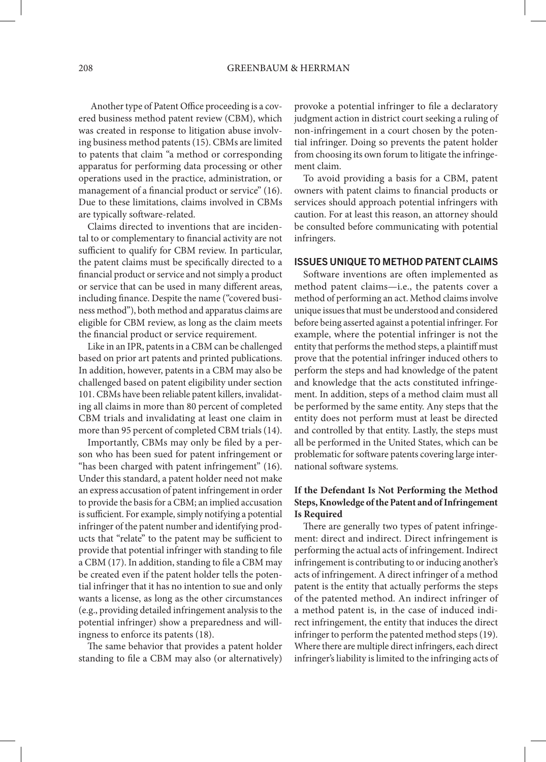Another type of Patent Office proceeding is a covered business method patent review (CBM), which was created in response to litigation abuse involving business method patents (15). CBMs are limited to patents that claim "a method or corresponding apparatus for performing data processing or other operations used in the practice, administration, or management of a financial product or service" (16). Due to these limitations, claims involved in CBMs are typically software-related.

Claims directed to inventions that are incidental to or complementary to financial activity are not sufficient to qualify for CBM review. In particular, the patent claims must be specifically directed to a financial product or service and not simply a product or service that can be used in many different areas, including finance. Despite the name ("covered business method"), both method and apparatus claims are eligible for CBM review, as long as the claim meets the financial product or service requirement.

Like in an IPR, patents in a CBM can be challenged based on prior art patents and printed publications. In addition, however, patents in a CBM may also be challenged based on patent eligibility under section 101. CBMs have been reliable patent killers, invalidating all claims in more than 80 percent of completed CBM trials and invalidating at least one claim in more than 95 percent of completed CBM trials (14).

Importantly, CBMs may only be filed by a person who has been sued for patent infringement or "has been charged with patent infringement" (16). Under this standard, a patent holder need not make an express accusation of patent infringement in order to provide the basis for a CBM; an implied accusation is sufficient. For example, simply notifying a potential infringer of the patent number and identifying products that "relate" to the patent may be sufficient to provide that potential infringer with standing to file a CBM (17). In addition, standing to file a CBM may be created even if the patent holder tells the potential infringer that it has no intention to sue and only wants a license, as long as the other circumstances (e.g., providing detailed infringement analysis to the potential infringer) show a preparedness and willingness to enforce its patents (18).

The same behavior that provides a patent holder standing to file a CBM may also (or alternatively) provoke a potential infringer to file a declaratory judgment action in district court seeking a ruling of non-infringement in a court chosen by the potential infringer. Doing so prevents the patent holder from choosing its own forum to litigate the infringement claim.

To avoid providing a basis for a CBM, patent owners with patent claims to financial products or services should approach potential infringers with caution. For at least this reason, an attorney should be consulted before communicating with potential infringers.

## ISSUES UNIQUE TO METHOD PATENT CLAIMS

Software inventions are often implemented as method patent claims—i.e., the patents cover a method of performing an act. Method claims involve unique issues that must be understood and considered before being asserted against a potential infringer. For example, where the potential infringer is not the entity that performs the method steps, a plaintiff must prove that the potential infringer induced others to perform the steps and had knowledge of the patent and knowledge that the acts constituted infringement. In addition, steps of a method claim must all be performed by the same entity. Any steps that the entity does not perform must at least be directed and controlled by that entity. Lastly, the steps must all be performed in the United States, which can be problematic for software patents covering large international software systems.

# **If the Defendant Is Not Performing the Method Steps, Knowledge of the Patent and of Infringement Is Required**

There are generally two types of patent infringement: direct and indirect. Direct infringement is performing the actual acts of infringement. Indirect infringement is contributing to or inducing another's acts of infringement. A direct infringer of a method patent is the entity that actually performs the steps of the patented method. An indirect infringer of a method patent is, in the case of induced indirect infringement, the entity that induces the direct infringer to perform the patented method steps (19). Where there are multiple direct infringers, each direct infringer's liability is limited to the infringing acts of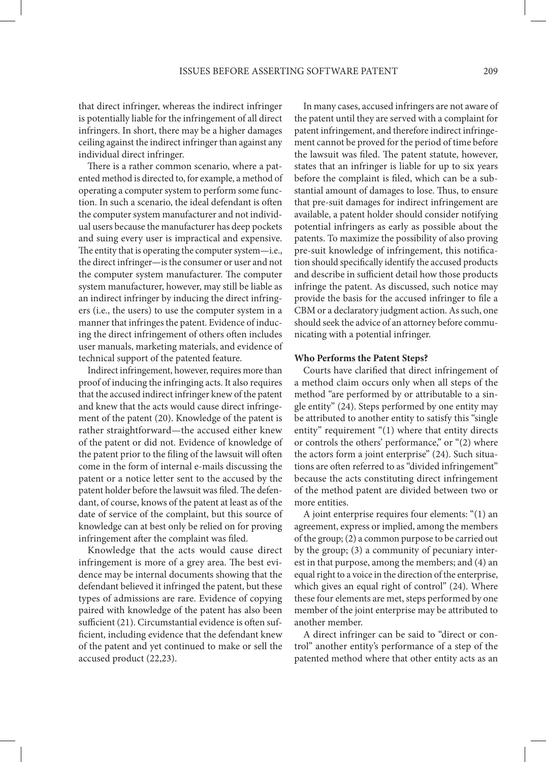that direct infringer, whereas the indirect infringer is potentially liable for the infringement of all direct infringers. In short, there may be a higher damages ceiling against the indirect infringer than against any individual direct infringer.

There is a rather common scenario, where a patented method is directed to, for example, a method of operating a computer system to perform some function. In such a scenario, the ideal defendant is often the computer system manufacturer and not individual users because the manufacturer has deep pockets and suing every user is impractical and expensive. The entity that is operating the computer system—i.e., the direct infringer—is the consumer or user and not the computer system manufacturer. The computer system manufacturer, however, may still be liable as an indirect infringer by inducing the direct infringers (i.e., the users) to use the computer system in a manner that infringes the patent. Evidence of inducing the direct infringement of others often includes user manuals, marketing materials, and evidence of technical support of the patented feature.

Indirect infringement, however, requires more than proof of inducing the infringing acts. It also requires that the accused indirect infringer knew of the patent and knew that the acts would cause direct infringement of the patent (20). Knowledge of the patent is rather straightforward—the accused either knew of the patent or did not. Evidence of knowledge of the patent prior to the filing of the lawsuit will often come in the form of internal e-mails discussing the patent or a notice letter sent to the accused by the patent holder before the lawsuit was filed. The defendant, of course, knows of the patent at least as of the date of service of the complaint, but this source of knowledge can at best only be relied on for proving infringement after the complaint was filed.

Knowledge that the acts would cause direct infringement is more of a grey area. The best evidence may be internal documents showing that the defendant believed it infringed the patent, but these types of admissions are rare. Evidence of copying paired with knowledge of the patent has also been sufficient (21). Circumstantial evidence is often sufficient, including evidence that the defendant knew of the patent and yet continued to make or sell the accused product (22,23).

In many cases, accused infringers are not aware of the patent until they are served with a complaint for patent infringement, and therefore indirect infringement cannot be proved for the period of time before the lawsuit was filed. The patent statute, however, states that an infringer is liable for up to six years before the complaint is filed, which can be a substantial amount of damages to lose. Thus, to ensure that pre-suit damages for indirect infringement are available, a patent holder should consider notifying potential infringers as early as possible about the patents. To maximize the possibility of also proving pre-suit knowledge of infringement, this notification should specifically identify the accused products and describe in sufficient detail how those products infringe the patent. As discussed, such notice may provide the basis for the accused infringer to file a CBM or a declaratory judgment action. As such, one should seek the advice of an attorney before communicating with a potential infringer.

## **Who Performs the Patent Steps?**

Courts have clarified that direct infringement of a method claim occurs only when all steps of the method "are performed by or attributable to a single entity" (24). Steps performed by one entity may be attributed to another entity to satisfy this "single entity" requirement "(1) where that entity directs or controls the others' performance," or "(2) where the actors form a joint enterprise" (24). Such situations are often referred to as "divided infringement" because the acts constituting direct infringement of the method patent are divided between two or more entities.

A joint enterprise requires four elements: "(1) an agreement, express or implied, among the members of the group; (2) a common purpose to be carried out by the group; (3) a community of pecuniary interest in that purpose, among the members; and (4) an equal right to a voice in the direction of the enterprise, which gives an equal right of control" (24). Where these four elements are met, steps performed by one member of the joint enterprise may be attributed to another member.

A direct infringer can be said to "direct or control" another entity's performance of a step of the patented method where that other entity acts as an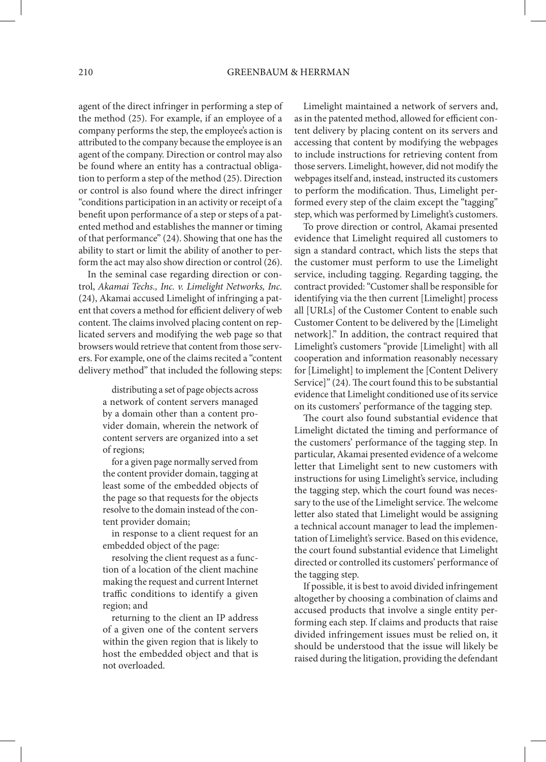agent of the direct infringer in performing a step of the method (25). For example, if an employee of a company performs the step, the employee's action is attributed to the company because the employee is an agent of the company. Direction or control may also be found where an entity has a contractual obligation to perform a step of the method (25). Direction or control is also found where the direct infringer "conditions participation in an activity or receipt of a benefit upon performance of a step or steps of a patented method and establishes the manner or timing of that performance" (24). Showing that one has the ability to start or limit the ability of another to perform the act may also show direction or control (26).

In the seminal case regarding direction or control, *Akamai Techs., Inc. v. Limelight Networks, Inc.*  (24), Akamai accused Limelight of infringing a patent that covers a method for efficient delivery of web content. The claims involved placing content on replicated servers and modifying the web page so that browsers would retrieve that content from those servers. For example, one of the claims recited a "content delivery method" that included the following steps:

> distributing a set of page objects across a network of content servers managed by a domain other than a content provider domain, wherein the network of content servers are organized into a set of regions;

> for a given page normally served from the content provider domain, tagging at least some of the embedded objects of the page so that requests for the objects resolve to the domain instead of the content provider domain;

> in response to a client request for an embedded object of the page:

> resolving the client request as a function of a location of the client machine making the request and current Internet traffic conditions to identify a given region; and

> returning to the client an IP address of a given one of the content servers within the given region that is likely to host the embedded object and that is not overloaded.

Limelight maintained a network of servers and, as in the patented method, allowed for efficient content delivery by placing content on its servers and accessing that content by modifying the webpages to include instructions for retrieving content from those servers. Limelight, however, did not modify the webpages itself and, instead, instructed its customers to perform the modification. Thus, Limelight performed every step of the claim except the "tagging" step, which was performed by Limelight's customers.

To prove direction or control, Akamai presented evidence that Limelight required all customers to sign a standard contract, which lists the steps that the customer must perform to use the Limelight service, including tagging. Regarding tagging, the contract provided: "Customer shall be responsible for identifying via the then current [Limelight] process all [URLs] of the Customer Content to enable such Customer Content to be delivered by the [Limelight network]." In addition, the contract required that Limelight's customers "provide [Limelight] with all cooperation and information reasonably necessary for [Limelight] to implement the [Content Delivery Service]" (24). The court found this to be substantial evidence that Limelight conditioned use of its service on its customers' performance of the tagging step.

The court also found substantial evidence that Limelight dictated the timing and performance of the customers' performance of the tagging step. In particular, Akamai presented evidence of a welcome letter that Limelight sent to new customers with instructions for using Limelight's service, including the tagging step, which the court found was necessary to the use of the Limelight service. The welcome letter also stated that Limelight would be assigning a technical account manager to lead the implementation of Limelight's service. Based on this evidence, the court found substantial evidence that Limelight directed or controlled its customers' performance of the tagging step.

If possible, it is best to avoid divided infringement altogether by choosing a combination of claims and accused products that involve a single entity performing each step. If claims and products that raise divided infringement issues must be relied on, it should be understood that the issue will likely be raised during the litigation, providing the defendant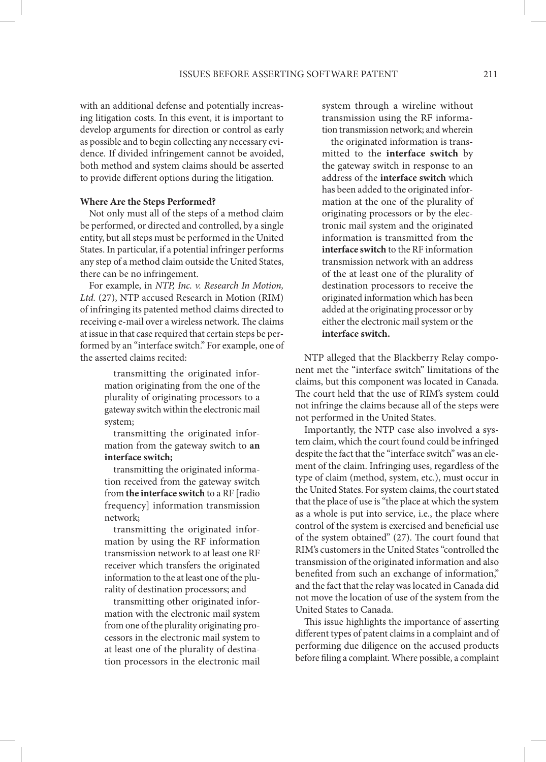with an additional defense and potentially increasing litigation costs. In this event, it is important to develop arguments for direction or control as early as possible and to begin collecting any necessary evidence. If divided infringement cannot be avoided, both method and system claims should be asserted to provide different options during the litigation.

## **Where Are the Steps Performed?**

Not only must all of the steps of a method claim be performed, or directed and controlled, by a single entity, but all steps must be performed in the United States. In particular, if a potential infringer performs any step of a method claim outside the United States, there can be no infringement.

For example, in *NTP, Inc. v. Research In Motion, Ltd.* (27), NTP accused Research in Motion (RIM) of infringing its patented method claims directed to receiving e-mail over a wireless network. The claims at issue in that case required that certain steps be performed by an "interface switch." For example, one of the asserted claims recited: NTP alleged that the Blackberry Relay compo-

transmitting the originated information originating from the one of the plurality of originating processors to a gateway switch within the electronic mail system;

transmitting the originated information from the gateway switch to **an interface switch;**

transmitting the originated information received from the gateway switch from **the interface switch** to a RF [radio frequency] information transmission network;

transmitting the originated information by using the RF information transmission network to at least one RF receiver which transfers the originated information to the at least one of the plurality of destination processors; and

transmitting other originated information with the electronic mail system from one of the plurality originating processors in the electronic mail system to at least one of the plurality of destination processors in the electronic mail system through a wireline without transmission using the RF information transmission network; and wherein

the originated information is transmitted to the **interface switch** by the gateway switch in response to an address of the **interface switch** which has been added to the originated information at the one of the plurality of originating processors or by the electronic mail system and the originated information is transmitted from the **interface switch** to the RF information transmission network with an address of the at least one of the plurality of destination processors to receive the originated information which has been added at the originating processor or by either the electronic mail system or the **interface switch.**

nent met the "interface switch" limitations of the claims, but this component was located in Canada. The court held that the use of RIM's system could not infringe the claims because all of the steps were not performed in the United States.

Importantly, the NTP case also involved a system claim, which the court found could be infringed despite the fact that the "interface switch" was an element of the claim. Infringing uses, regardless of the type of claim (method, system, etc.), must occur in the United States. For system claims, the court stated that the place of use is "the place at which the system as a whole is put into service, i.e., the place where control of the system is exercised and beneficial use of the system obtained" (27). The court found that RIM's customers in the United States "controlled the transmission of the originated information and also benefited from such an exchange of information," and the fact that the relay was located in Canada did not move the location of use of the system from the United States to Canada.

This issue highlights the importance of asserting different types of patent claims in a complaint and of performing due diligence on the accused products before filing a complaint. Where possible, a complaint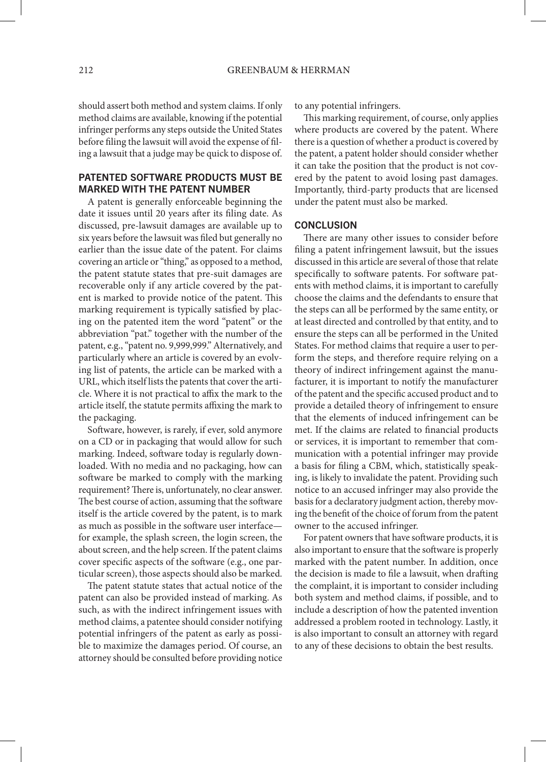should assert both method and system claims. If only method claims are available, knowing if the potential infringer performs any steps outside the United States before filing the lawsuit will avoid the expense of filing a lawsuit that a judge may be quick to dispose of.

# PATENTED SOFTWARE PRODUCTS MUST BE MARKED WITH THE PATENT NUMBER

A patent is generally enforceable beginning the date it issues until 20 years after its filing date. As discussed, pre-lawsuit damages are available up to six years before the lawsuit was filed but generally no earlier than the issue date of the patent. For claims covering an article or "thing," as opposed to a method, the patent statute states that pre-suit damages are recoverable only if any article covered by the patent is marked to provide notice of the patent. This marking requirement is typically satisfied by placing on the patented item the word "patent" or the abbreviation "pat." together with the number of the patent, e.g., "patent no. 9,999,999." Alternatively, and particularly where an article is covered by an evolving list of patents, the article can be marked with a URL, which itself lists the patents that cover the article. Where it is not practical to affix the mark to the article itself, the statute permits affixing the mark to the packaging.

Software, however, is rarely, if ever, sold anymore on a CD or in packaging that would allow for such marking. Indeed, software today is regularly downloaded. With no media and no packaging, how can software be marked to comply with the marking requirement? There is, unfortunately, no clear answer. The best course of action, assuming that the software itself is the article covered by the patent, is to mark as much as possible in the software user interface for example, the splash screen, the login screen, the about screen, and the help screen. If the patent claims cover specific aspects of the software (e.g., one particular screen), those aspects should also be marked.

The patent statute states that actual notice of the patent can also be provided instead of marking. As such, as with the indirect infringement issues with method claims, a patentee should consider notifying potential infringers of the patent as early as possible to maximize the damages period. Of course, an attorney should be consulted before providing notice to any potential infringers.

This marking requirement, of course, only applies where products are covered by the patent. Where there is a question of whether a product is covered by the patent, a patent holder should consider whether it can take the position that the product is not covered by the patent to avoid losing past damages. Importantly, third-party products that are licensed under the patent must also be marked.

#### **CONCLUSION**

There are many other issues to consider before filing a patent infringement lawsuit, but the issues discussed in this article are several of those that relate specifically to software patents. For software patents with method claims, it is important to carefully choose the claims and the defendants to ensure that the steps can all be performed by the same entity, or at least directed and controlled by that entity, and to ensure the steps can all be performed in the United States. For method claims that require a user to perform the steps, and therefore require relying on a theory of indirect infringement against the manufacturer, it is important to notify the manufacturer of the patent and the specific accused product and to provide a detailed theory of infringement to ensure that the elements of induced infringement can be met. If the claims are related to financial products or services, it is important to remember that communication with a potential infringer may provide a basis for filing a CBM, which, statistically speaking, is likely to invalidate the patent. Providing such notice to an accused infringer may also provide the basis for a declaratory judgment action, thereby moving the benefit of the choice of forum from the patent owner to the accused infringer.

For patent owners that have software products, it is also important to ensure that the software is properly marked with the patent number. In addition, once the decision is made to file a lawsuit, when drafting the complaint, it is important to consider including both system and method claims, if possible, and to include a description of how the patented invention addressed a problem rooted in technology. Lastly, it is also important to consult an attorney with regard to any of these decisions to obtain the best results.